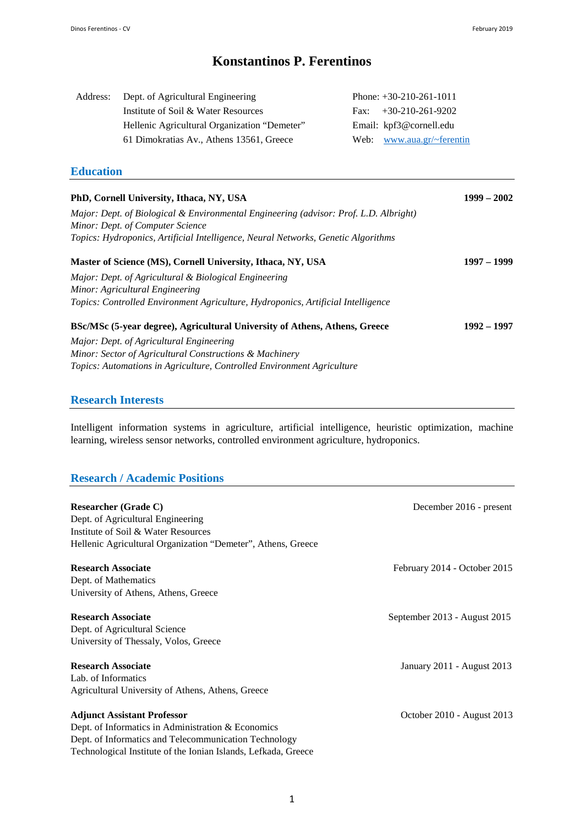# **Konstantinos P. Ferentinos**

| Address: | Dept. of Agricultural Engineering            | Phone: $+30-210-261-1011$   |
|----------|----------------------------------------------|-----------------------------|
|          | Institute of Soil & Water Resources          | Fax: $+30-210-261-9202$     |
|          | Hellenic Agricultural Organization "Demeter" | Email: kpf3@cornell.edu     |
|          | 61 Dimokratias Av., Athens 13561, Greece     | Web: $www.aua.gr/~ferentin$ |

## **Education**

| PhD, Cornell University, Ithaca, NY, USA                                              | $1999 - 2002$ |
|---------------------------------------------------------------------------------------|---------------|
| Major: Dept. of Biological & Environmental Engineering (advisor: Prof. L.D. Albright) |               |
| Minor: Dept. of Computer Science                                                      |               |
| Topics: Hydroponics, Artificial Intelligence, Neural Networks, Genetic Algorithms     |               |
| Master of Science (MS), Cornell University, Ithaca, NY, USA                           | 1997 – 1999   |
| Major: Dept. of Agricultural & Biological Engineering                                 |               |
| Minor: Agricultural Engineering                                                       |               |
| Topics: Controlled Environment Agriculture, Hydroponics, Artificial Intelligence      |               |
| BSc/MSc (5-year degree), Agricultural University of Athens, Athens, Greece            | 1992 – 1997   |
| Major: Dept. of Agricultural Engineering                                              |               |
| Minor: Sector of Agricultural Constructions & Machinery                               |               |
| Topics: Automations in Agriculture, Controlled Environment Agriculture                |               |
|                                                                                       |               |
|                                                                                       |               |

## **Research Interests**

Intelligent information systems in agriculture, artificial intelligence, heuristic optimization, machine learning, wireless sensor networks, controlled environment agriculture, hydroponics.

## **Research / Academic Positions**

| <b>Researcher (Grade C)</b>                                    | December 2016 - present      |
|----------------------------------------------------------------|------------------------------|
| Dept. of Agricultural Engineering                              |                              |
| Institute of Soil & Water Resources                            |                              |
| Hellenic Agricultural Organization "Demeter", Athens, Greece   |                              |
| <b>Research Associate</b>                                      | February 2014 - October 2015 |
| Dept. of Mathematics                                           |                              |
| University of Athens, Athens, Greece                           |                              |
| <b>Research Associate</b>                                      | September 2013 - August 2015 |
| Dept. of Agricultural Science                                  |                              |
| University of Thessaly, Volos, Greece                          |                              |
| <b>Research Associate</b>                                      | January 2011 - August 2013   |
| Lab. of Informatics                                            |                              |
| Agricultural University of Athens, Athens, Greece              |                              |
| <b>Adjunct Assistant Professor</b>                             | October 2010 - August 2013   |
| Dept. of Informatics in Administration & Economics             |                              |
| Dept. of Informatics and Telecommunication Technology          |                              |
| Technological Institute of the Ionian Islands, Lefkada, Greece |                              |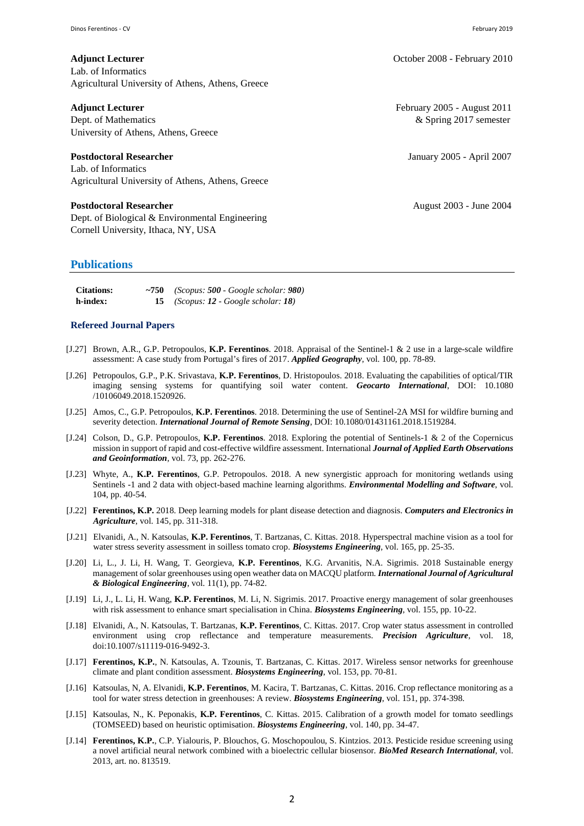Lab. of Informatics Agricultural University of Athens, Athens, Greece

Dept. of Mathematics **Branch Community Community** 2017 semester University of Athens, Athens, Greece

Lab. of Informatics Agricultural University of Athens, Athens, Greece

#### **Postdoctoral Researcher August 2003 - June 2004**

Dept. of Biological & Environmental Engineering Cornell University, Ithaca, NY, USA

### **Publications**

| <b>Citations:</b> | $\sim$ 750 (Scopus: 500 - Google scholar: 980) |
|-------------------|------------------------------------------------|
| h-index:          | (Scopus: 12 - Google scholar: 18)              |

#### **Refereed Journal Papers**

- [J.27] Brown, A.R., G.P. Petropoulos, **K.P. Ferentinos**. 2018. Appraisal of the Sentinel-1 & 2 use in a large-scale wildfire assessment: A case study from Portugal's fires of 2017. *Applied Geography*, vol. 100, pp. 78-89.
- [J.26] Petropoulos, G.P., P.K. Srivastava, **K.P. Ferentinos**, D. Hristopoulos. 2018. Evaluating the capabilities of optical/TIR imaging sensing systems for quantifying soil water content. *Geocarto International*, DOI: 10.1080 /10106049.2018.1520926.
- [J.25] Amos, C., G.P. Petropoulos, **K.P. Ferentinos**. 2018. Determining the use of Sentinel-2A MSI for wildfire burning and severity detection. *International Journal of Remote Sensing*, DOI: 10.1080/01431161.2018.1519284.
- [J.24] Colson, D., G.P. Petropoulos, **K.P. Ferentinos**. 2018. Exploring the potential of Sentinels-1 & 2 of the Copernicus mission in support of rapid and cost-effective wildfire assessment. International *Journal of Applied Earth Observations and Geoinformation*, vol. 73, pp. 262-276.
- [J.23] Whyte, A., **K.P. Ferentinos**, G.P. Petropoulos. 2018. A new synergistic approach for monitoring wetlands using Sentinels -1 and 2 data with object-based machine learning algorithms. *Environmental Modelling and Software*, vol. 104, pp. 40-54.
- [J.22] **Ferentinos, K.P.** 2018. Deep learning models for plant disease detection and diagnosis. *Computers and Electronics in Agriculture*, vol. 145, pp. 311-318.
- [J.21] Elvanidi, A., N. Katsoulas, **K.P. Ferentinos**, T. Bartzanas, C. Kittas. 2018. Hyperspectral machine vision as a tool for water stress severity assessment in soilless tomato crop. *Biosystems Engineering*, vol. 165, pp. 25-35.
- [J.20] Li, L., J. Li, H. Wang, T. Georgieva, **K.P. Ferentinos**, K.G. Arvanitis, N.A. Sigrimis. 2018 Sustainable energy management of solar greenhouses using open weather data on MACQU platform. *International Journal of Agricultural & Biological Engineering*, vol. 11(1), pp. 74-82.
- [J.19] Li, J., L. Li, H. Wang, **K.P. Ferentinos**, M. Li, N. Sigrimis. 2017. Proactive energy management of solar greenhouses with risk assessment to enhance smart specialisation in China. *Biosystems Engineering*, vol. 155, pp. 10-22.
- [J.18] Elvanidi, A., N. Katsoulas, T. Bartzanas, **K.P. Ferentinos**, C. Kittas. 2017. Crop water status assessment in controlled environment using crop reflectance and temperature measurements. *Precision Agriculture*, vol. 18, doi:10.1007/s11119-016-9492-3.
- [J.17] **Ferentinos, K.P.**, N. Katsoulas, A. Tzounis, T. Bartzanas, C. Kittas. 2017. Wireless sensor networks for greenhouse climate and plant condition assessment. *Biosystems Engineering*, vol. 153, pp. 70-81.
- [J.16] Katsoulas, N, A. Elvanidi, **K.P. Ferentinos**, M. Kacira, T. Bartzanas, C. Kittas. 2016. Crop reflectance monitoring as a tool for water stress detection in greenhouses: A review. *Biosystems Engineering*, vol. 151, pp. 374-398.
- [J.15] Katsoulas, N., K. Peponakis, **K.P. Ferentinos**, C. Kittas. 2015. Calibration of a growth model for tomato seedlings (TOMSEED) based on heuristic optimisation. *Biosystems Engineering*, vol. 140, pp. 34-47.
- [J.14] **Ferentinos, K.P.**, C.P. Yialouris, P. Blouchos, G. Moschopoulou, S. Kintzios. 2013. Pesticide residue screening using a novel artificial neural network combined with a bioelectric cellular biosensor. *BioMed Research International*, vol. 2013, art. no. 813519.

**Adjunct Lecturer Adjunct Lecturer** *CCCO* **<b>CCCO CCCO CCCO CCCO CCCO CCCO CCCO CCCO CCCO CCCO CCCO CCCO CCCO CCCO CCCO CCCO CCCO CCCO CCCO CCCO CCCO CCCO CCCO CCCO CCCO**

**Adjunct Lecturer** February 2005 - August 2011

**Postdoctoral Researcher** January 2005 - April 2007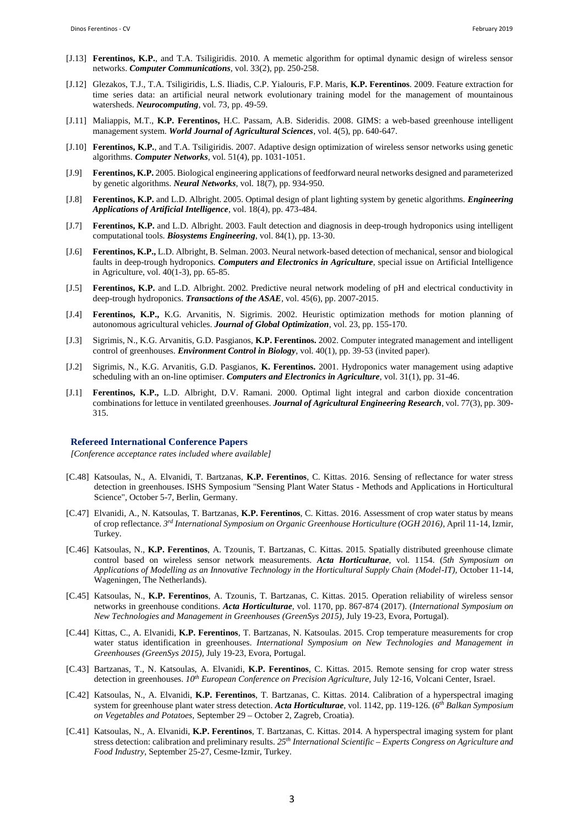- [J.13] **Ferentinos, K.P.**, and T.A. Tsiligiridis. 2010. A memetic algorithm for optimal dynamic design of wireless sensor networks. *Computer Communications*, vol. 33(2), pp. 250-258.
- [J.12] Glezakos, T.J., T.A. Tsiligiridis, L.S. Iliadis, C.P. Yialouris, F.P. Maris, **K.P. Ferentinos**. 2009. Feature extraction for time series data: an artificial neural network evolutionary training model for the management of mountainous watersheds. *Neurocomputing,* vol. 73, pp. 49-59.
- [J.11] Maliappis, M.T., **K.P. Ferentinos,** H.C. Passam, A.B. Sideridis. 2008. GIMS: a web-based greenhouse intelligent management system. *World Journal of Agricultural Sciences*, vol. 4(5), pp. 640-647.
- [J.10] **Ferentinos, K.P.**, and T.A. Tsiligiridis. 2007. Adaptive design optimization of wireless sensor networks using genetic algorithms. *Computer Networks*, vol. 51(4), pp. 1031-1051.
- [J.9] **Ferentinos, K.P.** 2005. Biological engineering applications of feedforward neural networks designed and parameterized by genetic algorithms. *Neural Networks*, vol. 18(7), pp. 934-950.
- [J.8] **Ferentinos, K.P.** and L.D. Albright. 2005. Optimal design of plant lighting system by genetic algorithms. *Engineering Applications of Artificial Intelligence*, vol. 18(4), pp. 473-484.
- [J.7] **Ferentinos, K.P.** and L.D. Albright. 2003. Fault detection and diagnosis in deep-trough hydroponics using intelligent computational tools. *Biosystems Engineering*, vol. 84(1), pp. 13-30.
- [J.6] **Ferentinos, K.P.,** L.D. Albright, B. Selman. 2003. Neural network-based detection of mechanical, sensor and biological faults in deep-trough hydroponics. *Computers and Electronics in Agriculture*, special issue on Artificial Intelligence in Agriculture, vol. 40(1-3), pp. 65-85.
- [J.5] **Ferentinos, K.P.** and L.D. Albright. 2002. Predictive neural network modeling of pH and electrical conductivity in deep-trough hydroponics. *Transactions of the ASAE*, vol. 45(6), pp. 2007-2015.
- [J.4] **Ferentinos, K.P.,** K.G. Arvanitis, N. Sigrimis. 2002. Heuristic optimization methods for motion planning of autonomous agricultural vehicles. *Journal of Global Optimization*, vol. 23, pp. 155-170.
- [J.3] Sigrimis, N., K.G. Arvanitis, G.D. Pasgianos, **K.P. Ferentinos.** 2002. Computer integrated management and intelligent control of greenhouses. *Environment Control in Biology*, vol. 40(1), pp. 39-53 (invited paper).
- [J.2] Sigrimis, N., K.G. Arvanitis, G.D. Pasgianos, **K. Ferentinos.** 2001. Hydroponics water management using adaptive scheduling with an on-line optimiser. *Computers and Electronics in Agriculture*, vol. 31(1), pp. 31-46.
- [J.1] **Ferentinos, K.P.,** L.D. Albright, D.V. Ramani. 2000. Optimal light integral and carbon dioxide concentration combinations for lettuce in ventilated greenhouses. *Journal of Agricultural Engineering Research*, vol. 77(3), pp. 309- 315.

#### **Refereed International Conference Papers**

*[Conference acceptance rates included where available]*

- [C.48] Katsoulas, N., A. Elvanidi, T. Bartzanas, **K.P. Ferentinos**, C. Kittas. 2016. Sensing of reflectance for water stress detection in greenhouses. ISHS Symposium "Sensing Plant Water Status - Methods and Applications in Horticultural Science", October 5-7, Berlin, Germany.
- [C.47] Elvanidi, A., N. Katsoulas, T. Bartzanas, **K.P. Ferentinos**, C. Kittas. 2016. Assessment of crop water status by means of crop reflectance. *3 rd International Symposium on Organic Greenhouse Horticulture (OGH 2016)*, April 11-14, Izmir, Turkey.
- [C.46] Katsoulas, N., **K.P. Ferentinos**, A. Tzounis, T. Bartzanas, C. Kittas. 2015. Spatially distributed greenhouse climate control based on wireless sensor network measurements. *Acta Horticulturae*, vol. 1154. (*5th Symposium on Applications of Modelling as an Innovative Technology in the Horticultural Supply Chain (Model-IT),* October 11-14, Wageningen, The Netherlands).
- [C.45] Katsoulas, N., **K.P. Ferentinos**, A. Tzounis, T. Bartzanas, C. Kittas. 2015. Operation reliability of wireless sensor networks in greenhouse conditions. *Acta Horticulturae*, vol. 1170, pp. 867-874 (2017). (*International Symposium on New Technologies and Management in Greenhouses (GreenSys 2015),* July 19-23, Evora, Portugal).
- [C.44] Kittas, C., A. Elvanidi, **K.P. Ferentinos**, T. Bartzanas, N. Katsoulas. 2015. Crop temperature measurements for crop water status identification in greenhouses. *International Symposium on New Technologies and Management in Greenhouses (GreenSys 2015),* July 19-23, Evora, Portugal.
- [C.43] Bartzanas, T., N. Katsoulas, A. Elvanidi, **K.P. Ferentinos**, C. Kittas. 2015. Remote sensing for crop water stress detection in greenhouses. *10th European Conference on Precision Agriculture,* July 12-16, Volcani Center, Israel.
- [C.42] Katsoulas, N., A. Elvanidi, **K.P. Ferentinos**, T. Bartzanas, C. Kittas. 2014. Calibration of a hyperspectral imaging system for greenhouse plant water stress detection. *Acta Horticulturae*, vol. 1142, pp. 119-126. (*6 th Balkan Symposium on Vegetables and Potatoes,* September 29 – October 2, Zagreb, Croatia).
- [C.41] Katsoulas, N., A. Elvanidi, **K.P. Ferentinos**, T. Bartzanas, C. Kittas. 2014. A hyperspectral imaging system for plant stress detection: calibration and preliminary results. *25th International Scientific – Experts Congress on Agriculture and Food Industry*, September 25-27, Cesme-Izmir, Turkey.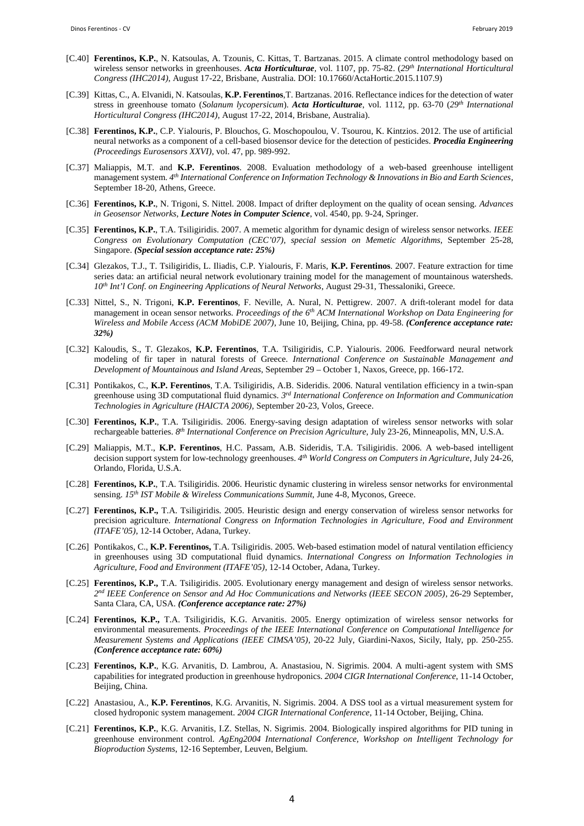- [C.40] **Ferentinos, K.P.**, N. Katsoulas, A. Tzounis, C. Kittas, T. Bartzanas. 2015. A climate control methodology based on wireless sensor networks in greenhouses. *Acta Horticulturae*, vol. 1107, pp. 75-82. (*29th International Horticultural Congress (IHC2014)*, August 17-22, Brisbane, Australia. DOI: 10.17660/ActaHortic.2015.1107.9)
- [C.39] Kittas, C., A. Elvanidi, N. Katsoulas, **K.P. Ferentinos**,T. Bartzanas. 2016. Reflectance indices for the detection of water stress in greenhouse tomato (*Solanum lycopersicum*). *Acta Horticulturae*, vol. 1112, pp. 63-70 (*29th International Horticultural Congress (IHC2014)*, August 17-22, 2014, Brisbane, Australia).
- [C.38] **Ferentinos, K.P.**, C.P. Yialouris, P. Blouchos, G. Moschopoulou, V. Tsourou, K. Kintzios. 2012. The use of artificial neural networks as a component of a cell-based biosensor device for the detection of pesticides. *Procedia Engineering (Proceedings Eurosensors XXVI)*, vol. 47, pp. 989-992.
- [C.37] Maliappis, M.T. and **K.P. Ferentinos**. 2008. Evaluation methodology of a web-based greenhouse intelligent management system. *4 th International Conference on Information Technology & Innovations in Bio and Earth Sciences*, September 18-20, Athens, Greece.
- [C.36] **Ferentinos, K.P.**, N. Trigoni, S. Nittel. 2008. Impact of drifter deployment on the quality of ocean sensing. *Advances in Geosensor Networks*, *Lecture Notes in Computer Science*, vol. 4540, pp. 9-24, Springer.
- [C.35] **Ferentinos, K.P.**, T.A. Tsiligiridis. 2007. A memetic algorithm for dynamic design of wireless sensor networks. *IEEE Congress on Evolutionary Computation (CEC'07), special session on Memetic Algorithms*, September 25-28, Singapore. *(Special session acceptance rate: 25%)*
- [C.34] Glezakos, T.J., T. Tsiligiridis, L. Iliadis, C.P. Yialouris, F. Maris, **K.P. Ferentinos**. 2007. Feature extraction for time series data: an artificial neural network evolutionary training model for the management of mountainous watersheds. *10th Int'l Conf. on Engineering Applications of Neural Networks*, August 29-31, Thessaloniki, Greece.
- [C.33] Nittel, S., N. Trigoni, **K.P. Ferentinos**, F. Neville, A. Nural, N. Pettigrew. 2007. A drift-tolerant model for data management in ocean sensor networks. *Proceedings of the 6th ACM International Workshop on Data Engineering for Wireless and Mobile Access (ACM MobiDE 2007)*, June 10, Beijing, China, pp. 49-58. *(Conference acceptance rate: 32%)*
- [C.32] Kaloudis, S., T. Glezakos, **K.P. Ferentinos**, T.A. Tsiligiridis, C.P. Yialouris. 2006. Feedforward neural network modeling of fir taper in natural forests of Greece. *International Conference on Sustainable Management and Development of Mountainous and Island Areas,* September 29 – October 1, Naxos, Greece, pp. 166-172.
- [C.31] Pontikakos, C., **K.P. Ferentinos**, T.A. Tsiligiridis, A.B. Sideridis. 2006. Natural ventilation efficiency in a twin-span greenhouse using 3D computational fluid dynamics. *3 rd International Conference on Information and Communication Technologies in Agriculture (HAICTA 2006),* September 20-23, Volos, Greece.
- [C.30] **Ferentinos, K.P.**, T.A. Tsiligiridis. 2006. Energy-saving design adaptation of wireless sensor networks with solar rechargeable batteries. *8 th International Conference on Precision Agriculture,* July 23-26, Minneapolis, MN, U.S.A.
- [C.29] Maliappis, M.T., **K.P. Ferentinos**, H.C. Passam, A.B. Sideridis, T.A. Tsiligiridis. 2006. A web-based intelligent decision support system for low-technology greenhouses. *4 th World Congress on Computers in Agriculture*, July 24-26, Orlando, Florida, U.S.A.
- [C.28] **Ferentinos, K.P.**, T.A. Tsiligiridis. 2006. Heuristic dynamic clustering in wireless sensor networks for environmental sensing. *15th IST Mobile & Wireless Communications Summit,* June 4-8, Myconos, Greece.
- [C.27] **Ferentinos, K.P.,** T.A. Tsiligiridis. 2005. Heuristic design and energy conservation of wireless sensor networks for precision agriculture. *International Congress on Information Technologies in Agriculture, Food and Environment (ITAFE'05)*, 12-14 October, Adana, Turkey.
- [C.26] Pontikakos, C., **K.P. Ferentinos,** T.A. Tsiligiridis. 2005. Web-based estimation model of natural ventilation efficiency in greenhouses using 3D computational fluid dynamics. *International Congress on Information Technologies in Agriculture, Food and Environment (ITAFE'05)*, 12-14 October, Adana, Turkey.
- [C.25] **Ferentinos, K.P.,** T.A. Tsiligiridis. 2005. Evolutionary energy management and design of wireless sensor networks. *2 nd IEEE Conference on Sensor and Ad Hoc Communications and Networks (IEEE SECON 2005)*, 26-29 September, Santa Clara, CA, USA. *(Conference acceptance rate: 27%)*
- [C.24] **Ferentinos, K.P.,** T.A. Tsiligiridis, K.G. Arvanitis. 2005. Energy optimization of wireless sensor networks for environmental measurements. *Proceedings of the IEEE International Conference on Computational Intelligence for Measurement Systems and Applications (IEEE CIMSA'05)*, 20-22 July, Giardini-Naxos, Sicily, Italy, pp. 250-255. *(Conference acceptance rate: 60%)*
- [C.23] **Ferentinos, K.P.**, K.G. Arvanitis, D. Lambrou, A. Anastasiou, N. Sigrimis. 2004. A multi-agent system with SMS capabilities for integrated production in greenhouse hydroponics. *2004 CIGR International Conference*, 11-14 October, Beijing, China.
- [C.22] Anastasiou, A., **K.P. Ferentinos**, K.G. Arvanitis, N. Sigrimis. 2004. A DSS tool as a virtual measurement system for closed hydroponic system management. *2004 CIGR International Conference*, 11-14 October, Beijing, China.
- [C.21] **Ferentinos, K.P.**, K.G. Arvanitis, I.Z. Stellas, N. Sigrimis. 2004. Biologically inspired algorithms for PID tuning in greenhouse environment control. *AgEng2004 International Conference, Workshop on Intelligent Technology for Bioproduction Systems*, 12-16 September, Leuven, Belgium.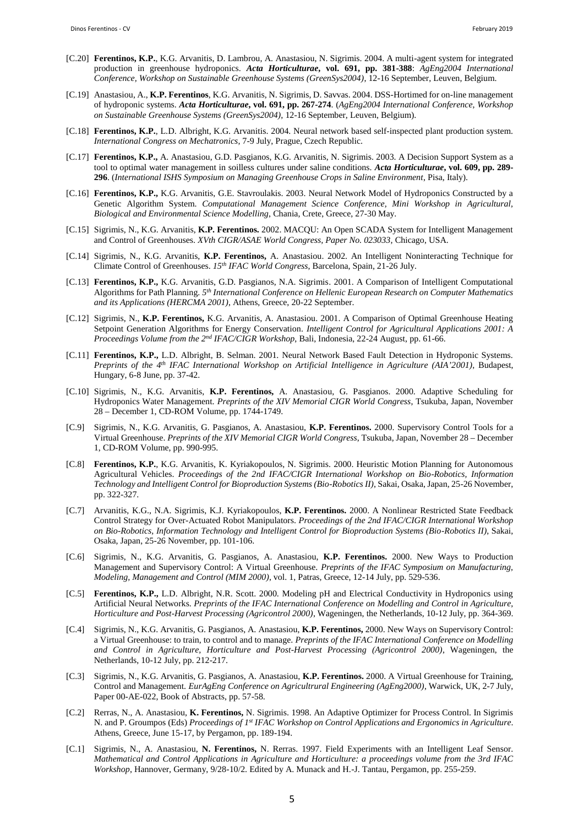- [C.20] **Ferentinos, K.P.**, K.G. Arvanitis, D. Lambrou, A. Anastasiou, N. Sigrimis. 2004. A multi-agent system for integrated production in greenhouse hydroponics. *Acta Horticulturae***, vol. 691, pp. 381-388**: *AgEng2004 International Conference, Workshop on Sustainable Greenhouse Systems (GreenSys2004)*, 12-16 September, Leuven, Belgium.
- [C.19] Anastasiou, A., **K.P. Ferentinos**, K.G. Arvanitis, N. Sigrimis, D. Savvas. 2004. DSS-Hortimed for on-line management of hydroponic systems. *Acta Horticulturae***, vol. 691, pp. 267-274**. (*AgEng2004 International Conference, Workshop on Sustainable Greenhouse Systems (GreenSys2004)*, 12-16 September, Leuven, Belgium).
- [C.18] **Ferentinos, K.P.**, L.D. Albright, K.G. Arvanitis. 2004. Neural network based self-inspected plant production system. *International Congress on Mechatronics*, 7-9 July, Prague, Czech Republic.
- [C.17] **Ferentinos, K.P.,** A. Anastasiou, G.D. Pasgianos, K.G. Arvanitis, N. Sigrimis. 2003. A Decision Support System as a tool to optimal water management in soilless cultures under saline conditions. *Acta Horticulturae***, vol. 609, pp. 289- 296**. (*International ISHS Symposium on Managing Greenhouse Crops in Saline Environment*, Pisa, Italy).
- [C.16] **Ferentinos, K.P.,** K.G. Arvanitis, G.E. Stavroulakis. 2003. Neural Network Model of Hydroponics Constructed by a Genetic Algorithm System. *Computational Management Science Conference, Mini Workshop in Agricultural, Biological and Environmental Science Modelling*, Chania, Crete, Greece, 27-30 May.
- [C.15] Sigrimis, N., K.G. Arvanitis, **K.P. Ferentinos.** 2002. MACQU: An Open SCADA System for Intelligent Management and Control of Greenhouses. *XVth CIGR/ASAE World Congress, Paper No. 023033*, Chicago, USA.
- [C.14] Sigrimis, N., K.G. Arvanitis, **K.P. Ferentinos,** A. Anastasiou. 2002. An Intelligent Noninteracting Technique for Climate Control of Greenhouses. *15th IFAC World Congress*, Barcelona, Spain, 21-26 July.
- [C.13] **Ferentinos, K.P.,** K.G. Arvanitis, G.D. Pasgianos, N.A. Sigrimis. 2001. A Comparison of Intelligent Computational Algorithms for Path Planning. *5 th International Conference on Hellenic European Research on Computer Mathematics and its Applications (HERCMA 2001)*, Athens, Greece, 20-22 September.
- [C.12] Sigrimis, N., **K.P. Ferentinos,** K.G. Arvanitis, A. Anastasiou. 2001. A Comparison of Optimal Greenhouse Heating Setpoint Generation Algorithms for Energy Conservation. *Intelligent Control for Agricultural Applications 2001: A Proceedings Volume from the 2nd IFAC/CIGR Workshop*, Bali, Indonesia, 22-24 August, pp. 61-66.
- [C.11] **Ferentinos, K.P.,** L.D. Albright, B. Selman. 2001. Neural Network Based Fault Detection in Hydroponic Systems. *Preprints of the 4th IFAC International Workshop on Artificial Intelligence in Agriculture (AIA'2001)*, Budapest, Hungary, 6-8 June, pp. 37-42.
- [C.10] Sigrimis, N., K.G. Arvanitis, **K.P. Ferentinos,** A. Anastasiou, G. Pasgianos. 2000. Adaptive Scheduling for Hydroponics Water Management. *Preprints of the XIV Memorial CIGR World Congress*, Tsukuba, Japan, November 28 – December 1, CD-ROM Volume, pp. 1744-1749.
- [C.9] Sigrimis, N., K.G. Arvanitis, G. Pasgianos, A. Anastasiou, **K.P. Ferentinos.** 2000. Supervisory Control Tools for a Virtual Greenhouse. *Preprints of the XIV Memorial CIGR World Congress*, Tsukuba, Japan, November 28 – December 1, CD-ROM Volume, pp. 990-995.
- [C.8] **Ferentinos, K.P.**, K.G. Arvanitis, K. Kyriakopoulos, N. Sigrimis. 2000. Heuristic Motion Planning for Autonomous Agricultural Vehicles. *Proceedings of the 2nd IFAC/CIGR International Workshop on Bio-Robotics, Information Technology and Intelligent Control for Bioproduction Systems (Bio-Robotics II)*, Sakai, Osaka, Japan, 25-26 November, pp. 322-327.
- [C.7] Arvanitis, K.G., N.A. Sigrimis, K.J. Kyriakopoulos, **K.P. Ferentinos.** 2000. A Nonlinear Restricted State Feedback Control Strategy for Over-Actuated Robot Manipulators. *Proceedings of the 2nd IFAC/CIGR International Workshop on Bio-Robotics, Information Technology and Intelligent Control for Bioproduction Systems (Bio-Robotics II)*, Sakai, Osaka, Japan, 25-26 November, pp. 101-106.
- [C.6] Sigrimis, N., K.G. Arvanitis, G. Pasgianos, A. Anastasiou, **K.P. Ferentinos.** 2000. New Ways to Production Management and Supervisory Control: A Virtual Greenhouse. *Preprints of the IFAC Symposium on Manufacturing, Modeling, Management and Control (MIM 2000)*, vol. 1, Patras, Greece, 12-14 July, pp. 529-536.
- [C.5] **Ferentinos, K.P.,** L.D. Albright, N.R. Scott. 2000. Modeling pH and Electrical Conductivity in Hydroponics using Artificial Neural Networks. *Preprints of the IFAC International Conference on Modelling and Control in Agriculture, Horticulture and Post-Harvest Processing (Agricontrol 2000)*, Wageningen, the Netherlands, 10-12 July, pp. 364-369.
- [C.4] Sigrimis, N., K.G. Arvanitis, G. Pasgianos, A. Anastasiou, **K.P. Ferentinos,** 2000. New Ways on Supervisory Control: a Virtual Greenhouse: to train, to control and to manage. *Preprints of the IFAC International Conference on Modelling and Control in Agriculture, Horticulture and Post-Harvest Processing (Agricontrol 2000)*, Wageningen, the Netherlands, 10-12 July, pp. 212-217.
- [C.3] Sigrimis, N., K.G. Arvanitis, G. Pasgianos, A. Anastasiou, **K.P. Ferentinos.** 2000. A Virtual Greenhouse for Training, Control and Management. *EurAgEng Conference on Agricultrural Engineering (AgEng2000)*, Warwick, UK, 2-7 July, Paper 00-AE-022, Book of Abstracts, pp. 57-58.
- [C.2] Rerras, N., A. Anastasiou, **K. Ferentinos,** N. Sigrimis. 1998. An Adaptive Optimizer for Process Control. In Sigrimis N. and P. Groumpos (Eds) *Proceedings of 1st IFAC Workshop on Control Applications and Ergonomics in Agriculture*. Athens, Greece, June 15-17, by Pergamon, pp. 189-194.
- [C.1] Sigrimis, N., A. Anastasiou, **N. Ferentinos,** N. Rerras. 1997. Field Experiments with an Intelligent Leaf Sensor. *Mathematical and Control Applications in Agriculture and Horticulture: a proceedings volume from the 3rd IFAC Workshop*, Hannover, Germany, 9/28-10/2. Edited by A. Munack and H.-J. Tantau, Pergamon, pp. 255-259.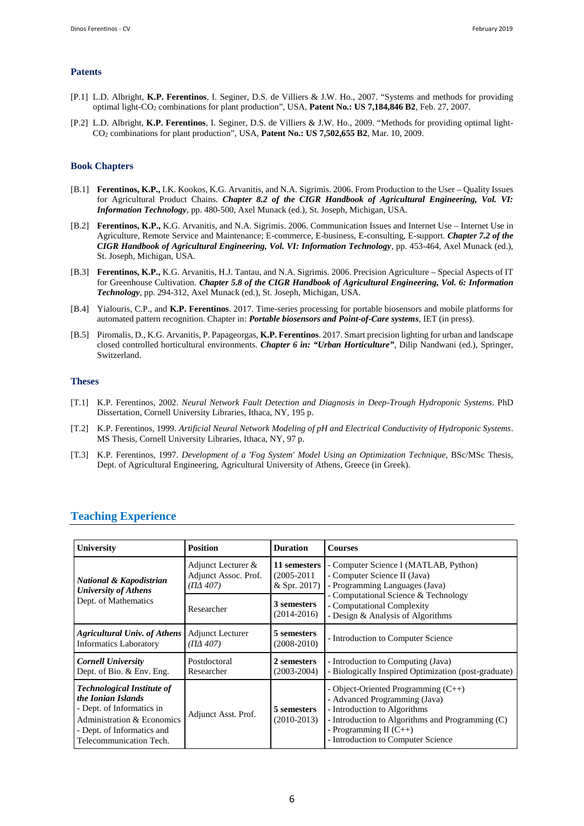#### **Patents**

- [P.1] L.D. Albright, **K.P. Ferentinos**, I. Seginer, D.S. de Villiers & J.W. Ho., 2007. "Systems and methods for providing optimal light-CO<sup>2</sup> combinations for plant production", USA, **Patent No.: US 7,184,846 B2**, Feb. 27, 2007.
- [P.2] L.D. Albright, **K.P. Ferentinos**, I. Seginer, D.S. de Villiers & J.W. Ho., 2009. "Methods for providing optimal light-CO<sup>2</sup> combinations for plant production", USA, **Patent No.: US 7,502,655 B2**, Mar. 10, 2009.

#### **Book Chapters**

- [B.1] **Ferentinos, K.P.,** I.K. Kookos, K.G. Arvanitis, and N.A. Sigrimis. 2006. From Production to the User Quality Issues for Agricultural Product Chains. *Chapter 8.2 of the CIGR Handbook of Agricultural Engineering, Vol. VI: Information Technology*, pp. 480-500, Axel Munack (ed.), St. Joseph, Michigan, USA.
- [B.2] **Ferentinos, K.P.,** K.G. Arvanitis, and N.A. Sigrimis. 2006. Communication Issues and Internet Use Internet Use in Agriculture, Remote Service and Maintenance; E-commerce, E-business, E-consulting, E-support. *Chapter 7.2 of the CIGR Handbook of Agricultural Engineering, Vol. VI: Information Technology*, pp. 453-464, Axel Munack (ed.), St. Joseph, Michigan, USA.
- [B.3] **Ferentinos, K.P.,** K.G. Arvanitis, H.J. Tantau, and N.A. Sigrimis. 2006. Precision Agriculture Special Aspects of IT for Greenhouse Cultivation. *Chapter 5.8 of the CIGR Handbook of Agricultural Engineering, Vol. 6: Information Technology*, pp. 294-312, Axel Munack (ed.), St. Joseph, Michigan, USA.
- [B.4] Yialouris, C.P., and **K.P. Ferentinos**. 2017. Time-series processing for portable biosensors and mobile platforms for automated pattern recognition. Chapter in: *Portable biosensors and Point-of-Care systems*, IET (in press).
- [B.5] Piromalis, D., K.G. Arvanitis, P. Papageorgas, **K.P. Ferentinos**. 2017. Smart precision lighting for urban and landscape closed controlled horticultural environments. *Chapter 6 in: "Urban Horticulture"*, Dilip Nandwani (ed.), Springer, Switzerland.

#### **Theses**

- [T.1] K.P. Ferentinos, 2002. *Neural Network Fault Detection and Diagnosis in Deep-Trough Hydroponic Systems*. PhD Dissertation, Cornell University Libraries, Ithaca, NY, 195 p.
- [T.2] K.P. Ferentinos, 1999. *Artificial Neural Network Modeling of pH and Electrical Conductivity of Hydroponic Systems*. MS Thesis, Cornell University Libraries, Ithaca, NY, 97 p.
- [T.3] K.P. Ferentinos, 1997. *Development of a 'Fog System' Model Using an Optimization Technique*, BSc/MSc Thesis, Dept. of Agricultural Engineering, Agricultural University of Athens, Greece (in Greek).

| <b>University</b>                                                                                                                                                                      | <b>Position</b>                                        | <b>Duration</b>                                 | <b>Courses</b>                                                                                                                                                                                                                     |  |
|----------------------------------------------------------------------------------------------------------------------------------------------------------------------------------------|--------------------------------------------------------|-------------------------------------------------|------------------------------------------------------------------------------------------------------------------------------------------------------------------------------------------------------------------------------------|--|
| <b>National &amp; Kapodistrian</b><br><b>University of Athens</b>                                                                                                                      | Adjunct Lecturer &<br>Adjunct Assoc. Prof.<br>(ΠΔ 407) | 11 semesters<br>$(2005 - 2011)$<br>& Spr. 2017) | - Computer Science I (MATLAB, Python)<br>- Computer Science II (Java)<br>- Programming Languages (Java)<br>- Computational Science & Technology<br>- Computational Complexity<br>- Design & Analysis of Algorithms                 |  |
| Dept. of Mathematics                                                                                                                                                                   | Researcher                                             | 3 semesters<br>$(2014 - 2016)$                  |                                                                                                                                                                                                                                    |  |
| <b>Agricultural Univ. of Athens</b><br><b>Informatics Laboratory</b>                                                                                                                   | <b>Adjunct Lecturer</b><br>$( \Pi \Delta 407)$         | 5 semesters<br>$(2008 - 2010)$                  | - Introduction to Computer Science                                                                                                                                                                                                 |  |
| <b>Cornell University</b><br>Dept. of Bio. & Env. Eng.                                                                                                                                 | Postdoctoral<br>Researcher                             | 2 semesters<br>$(2003 - 2004)$                  | - Introduction to Computing (Java)<br>- Biologically Inspired Optimization (post-graduate)                                                                                                                                         |  |
| <b>Technological Institute of</b><br>the Ionian Islands<br>- Dept. of Informatics in<br><b>Administration &amp; Economics</b><br>- Dept. of Informatics and<br>Telecommunication Tech. | Adjunct Asst. Prof.                                    | 5 semesters<br>$(2010 - 2013)$                  | - Object-Oriented Programming $(C^{++})$<br>- Advanced Programming (Java)<br>- Introduction to Algorithms<br>- Introduction to Algorithms and Programming (C)<br>- Programming II $(C^{++})$<br>- Introduction to Computer Science |  |

#### **Teaching Experience**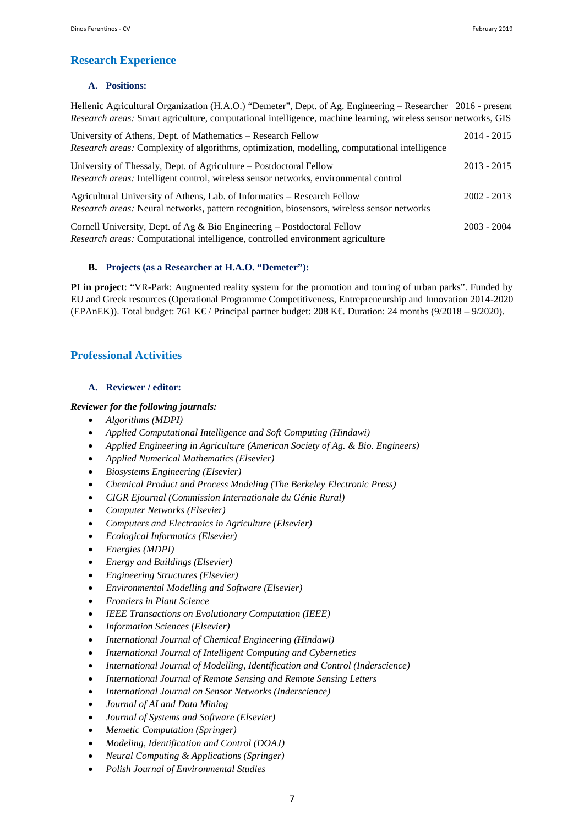## **Research Experience**

## **A. Positions:**

| Hellenic Agricultural Organization (H.A.O.) "Demeter", Dept. of Ag. Engineering – Researcher 2016 - present<br>Research areas: Smart agriculture, computational intelligence, machine learning, wireless sensor networks, GIS |               |
|-------------------------------------------------------------------------------------------------------------------------------------------------------------------------------------------------------------------------------|---------------|
| University of Athens, Dept. of Mathematics – Research Fellow<br>Research areas: Complexity of algorithms, optimization, modelling, computational intelligence                                                                 | 2014 - 2015   |
| University of Thessaly, Dept. of Agriculture – Postdoctoral Fellow<br>Research areas: Intelligent control, wireless sensor networks, environmental control                                                                    | 2013 - 2015   |
| Agricultural University of Athens, Lab. of Informatics – Research Fellow<br>Research areas: Neural networks, pattern recognition, biosensors, wireless sensor networks                                                        | $2002 - 2013$ |
| Cornell University, Dept. of Ag & Bio Engineering – Postdoctoral Fellow                                                                                                                                                       | 2003 - 2004   |

*Research areas:* Computational intelligence, controlled environment agriculture

## **B. Projects (as a Researcher at H.A.O. "Demeter"):**

**PI in project**: "VR-Park: Augmented reality system for the promotion and touring of urban parks". Funded by EU and Greek resources (Operational Programme Competitiveness, Entrepreneurship and Innovation 2014-2020 (EPAnEK)). Total budget: 761 K€ / Principal partner budget: 208 K€. Duration: 24 months (9/2018 – 9/2020).

## **Professional Activities**

## **A. Reviewer / editor:**

## *Reviewer for the following journals:*

- *Algorithms (MDPI)*
- *Applied Computational Intelligence and Soft Computing (Hindawi)*
- *Applied Engineering in Agriculture (American Society of Ag. & Bio. Engineers)*
- *Applied Numerical Mathematics (Elsevier)*
- *Biosystems Engineering (Elsevier)*
- *Chemical Product and Process Modeling (The Berkeley Electronic Press)*
- *CIGR Ejournal (Commission Internationale du Génie Rural)*
- *Computer Networks (Elsevier)*
- *Computers and Electronics in Agriculture (Elsevier)*
- *Ecological Informatics (Elsevier)*
- *Energies (MDPI)*
- *Energy and Buildings (Elsevier)*
- *Engineering Structures (Elsevier)*
- *Environmental Modelling and Software (Elsevier)*
- *Frontiers in Plant Science*
- *IEEE Transactions on Evolutionary Computation (IEEE)*
- *Information Sciences (Elsevier)*
- *International Journal of Chemical Engineering (Hindawi)*
- *International Journal of Intelligent Computing and Cybernetics*
- *International Journal of Modelling, Identification and Control (Inderscience)*
- *International Journal of Remote Sensing and Remote Sensing Letters*
- *International Journal on Sensor Networks (Inderscience)*
- *Journal of AI and Data Mining*
- *Journal of Systems and Software (Elsevier)*
- *Memetic Computation (Springer)*
- *Modeling, Identification and Control (DOAJ)*
- *Neural Computing & Applications (Springer)*
- *Polish Journal of Environmental Studies*